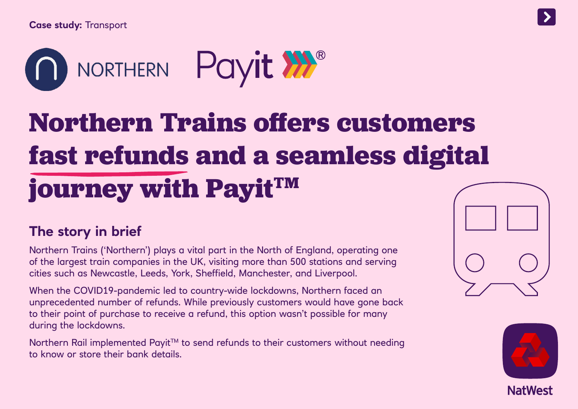

# **Northern Trains offers customers fast refunds and a seamless digital journey with PayitTM**

## **The story in brief**

Northern Trains ('Northern') plays a vital part in the North of England, operating one of the largest train companies in the UK, visiting more than 500 stations and serving cities such as Newcastle, Leeds, York, Sheffield, Manchester, and Liverpool.

When the COVID19-pandemic led to country-wide lockdowns, Northern faced an unprecedented number of refunds. While previously customers would have gone back to their point of purchase to receive a refund, this option wasn't possible for many during the lockdowns.

Northern Rail implemented Payit™ to send refunds to their customers without needing to know or store their bank details.